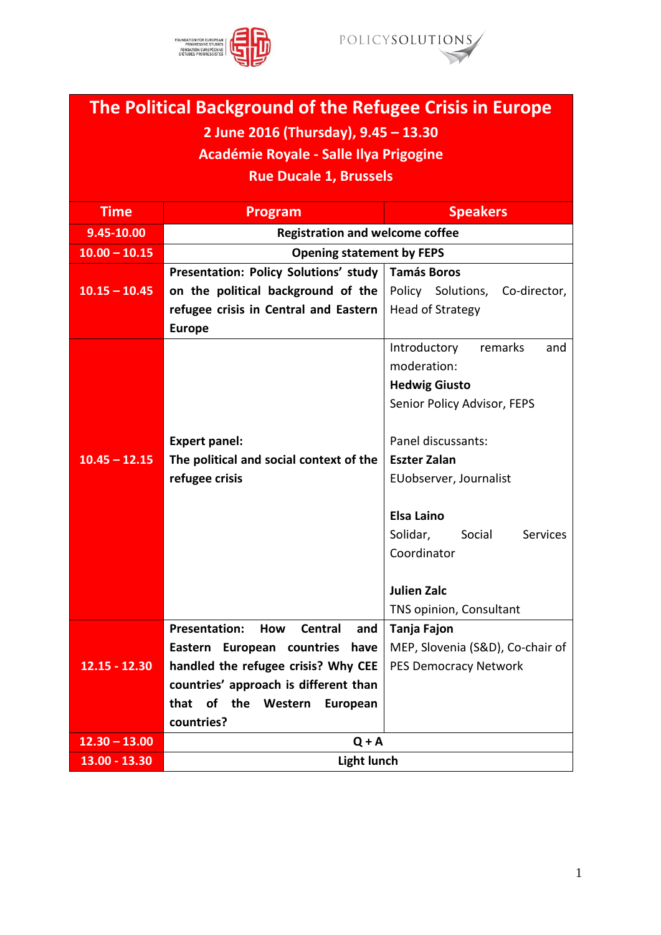



## **The Political Background of the Refugee Crisis in Europe 2 June 2016 (Thursday), 9.45 – 13.30 Académie Royale - Salle Ilya Prigogine Rue Ducale 1, Brussels Time Program Program Speakers 9.45-10.00 Registration and welcome coffee 10.00 – 10.15 Opening statement by FEPS 10.15 – 10.45 Presentation: Policy Solutions' study on the political background of the refugee crisis in Central and Eastern**  Head of Strategy **Europe Tamás Boros** Policy Solutions, Co-director,

|                 |                                                             | Introductory<br>remarks<br>and        |
|-----------------|-------------------------------------------------------------|---------------------------------------|
|                 |                                                             | moderation:                           |
|                 |                                                             | <b>Hedwig Giusto</b>                  |
|                 |                                                             | Senior Policy Advisor, FEPS           |
|                 |                                                             |                                       |
|                 | <b>Expert panel:</b>                                        | Panel discussants:                    |
| $10.45 - 12.15$ | The political and social context of the                     | <b>Eszter Zalan</b>                   |
|                 | refugee crisis                                              | EUobserver, Journalist                |
|                 |                                                             |                                       |
|                 |                                                             | <b>Elsa Laino</b>                     |
|                 |                                                             | Solidar,<br>Social<br><b>Services</b> |
|                 |                                                             | Coordinator                           |
|                 |                                                             |                                       |
|                 |                                                             | <b>Julien Zalc</b>                    |
|                 |                                                             | TNS opinion, Consultant               |
|                 | <b>Presentation:</b><br><b>How</b><br><b>Central</b><br>and | Tanja Fajon                           |
|                 | Eastern European countries have                             | MEP, Slovenia (S&D), Co-chair of      |
| $12.15 - 12.30$ | handled the refugee crisis? Why CEE                         | <b>PES Democracy Network</b>          |
|                 | countries' approach is different than                       |                                       |
|                 | that<br>of the<br>Western<br>European                       |                                       |
|                 | countries?                                                  |                                       |
| $12.30 - 13.00$ | $Q + A$                                                     |                                       |
| 13.00 - 13.30   | <b>Light lunch</b>                                          |                                       |